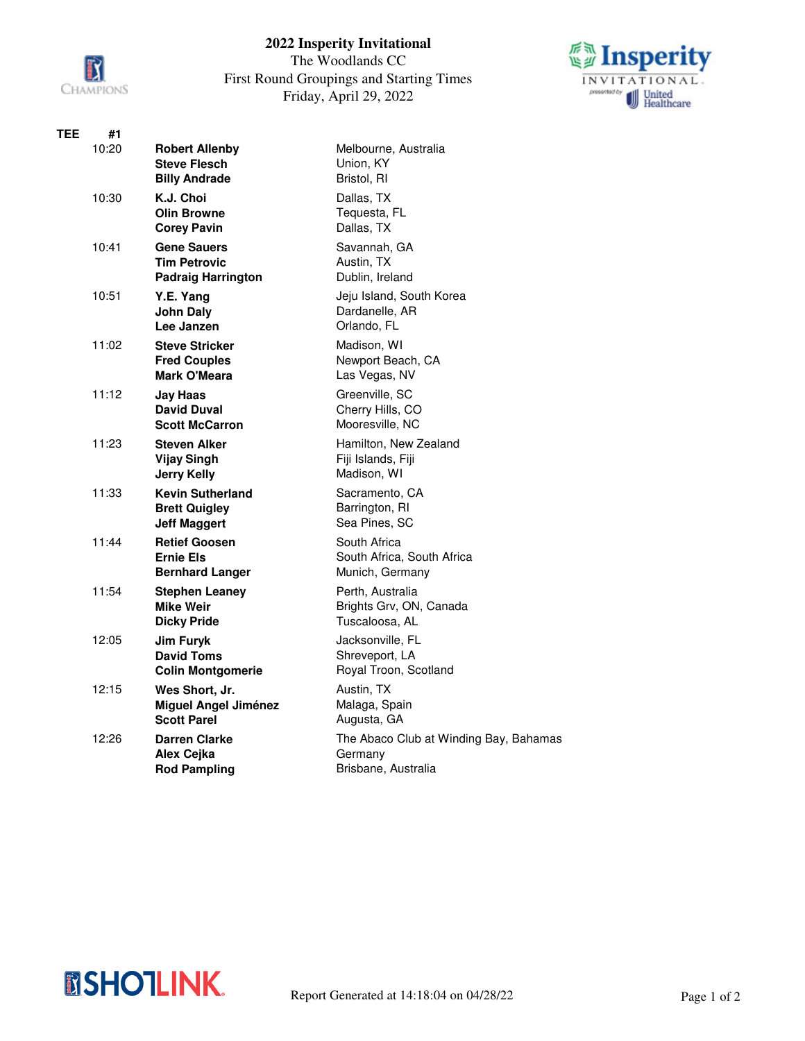

## **2022 Insperity Invitational**

The Woodlands CC First Round Groupings and Starting Times Friday, April 29, 2022



| <b>TEE</b> | #1    |                                                                        |                                                                          |
|------------|-------|------------------------------------------------------------------------|--------------------------------------------------------------------------|
|            | 10:20 | <b>Robert Allenby</b><br><b>Steve Flesch</b><br><b>Billy Andrade</b>   | Melbourne, Australia<br>Union, KY<br>Bristol, RI                         |
|            | 10:30 | K.J. Choi<br><b>Olin Browne</b><br><b>Corey Pavin</b>                  | Dallas, TX<br>Tequesta, FL<br>Dallas, TX                                 |
|            | 10:41 | <b>Gene Sauers</b><br><b>Tim Petrovic</b><br><b>Padraig Harrington</b> | Savannah, GA<br>Austin, TX<br>Dublin, Ireland                            |
|            | 10:51 | Y.E. Yang<br><b>John Daly</b><br>Lee Janzen                            | Jeju Island, South Korea<br>Dardanelle, AR<br>Orlando, FL                |
|            | 11:02 | <b>Steve Stricker</b><br><b>Fred Couples</b><br><b>Mark O'Meara</b>    | Madison, WI<br>Newport Beach, CA<br>Las Vegas, NV                        |
|            | 11:12 | Jay Haas<br><b>David Duval</b><br><b>Scott McCarron</b>                | Greenville, SC<br>Cherry Hills, CO<br>Mooresville, NC                    |
|            | 11:23 | <b>Steven Alker</b><br><b>Vijay Singh</b><br><b>Jerry Kelly</b>        | Hamilton, New Zealand<br>Fiji Islands, Fiji<br>Madison, WI               |
|            | 11:33 | <b>Kevin Sutherland</b><br><b>Brett Quigley</b><br><b>Jeff Maggert</b> | Sacramento, CA<br>Barrington, RI<br>Sea Pines, SC                        |
|            | 11:44 | <b>Retief Goosen</b><br><b>Ernie Els</b><br><b>Bernhard Langer</b>     | South Africa<br>South Africa, South Africa<br>Munich, Germany            |
|            | 11:54 | <b>Stephen Leaney</b><br><b>Mike Weir</b><br><b>Dicky Pride</b>        | Perth, Australia<br>Brights Grv, ON, Canada<br>Tuscaloosa, AL            |
|            | 12:05 | <b>Jim Furyk</b><br><b>David Toms</b><br><b>Colin Montgomerie</b>      | Jacksonville, FL<br>Shreveport, LA<br>Royal Troon, Scotland              |
|            | 12:15 | Wes Short, Jr.<br><b>Miguel Angel Jiménez</b><br><b>Scott Parel</b>    | Austin, TX<br>Malaga, Spain<br>Augusta, GA                               |
|            | 12:26 | <b>Darren Clarke</b><br>Alex Cejka<br><b>Rod Pampling</b>              | The Abaco Club at Winding Bay, Bahamas<br>Germany<br>Brisbane. Australia |